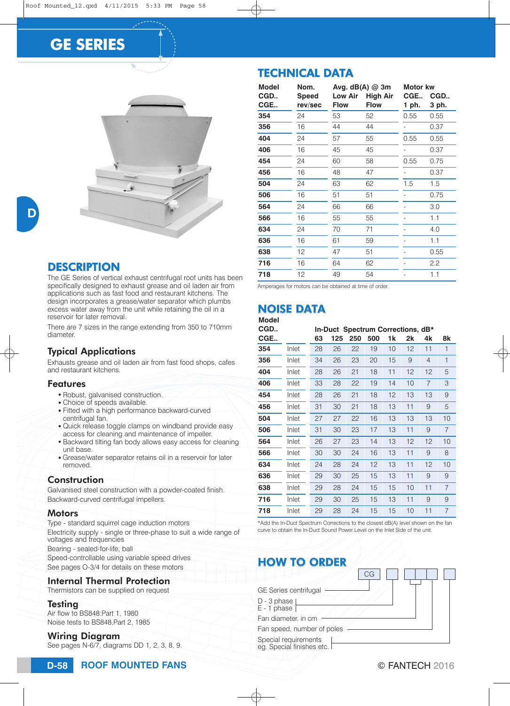# **GE SERIES**



# D

## **DESCRIPTION**

The GE Series of vertical exhaust centrifugal roof units has been specifically designed to exhaust grease and oil laden air from applications such as fast food and restaurant kitchens. The design incorporates a grease/water separator which plumbs excess water away from the unit while retaining the oil in a reservoir for later removal.

There are 7 sizes in the range extending from 350 to 710mm diameter.

### Typical Applications

Exhausts grease and oil laden air from fast food shops, cafes and restaurant kitchens.

#### Features

- Robust, galvanised construction.
- Choice of speeds available.
- Fitted with a high performance backward-curved centrifugal fan.
- Quick release toggle clamps on windband provide easy access for cleaning and maintenance of impeller.
- Backward tilting fan body allows easy access for cleaning unit base.
- Grease/water separator retains oil in a reservoir for later removed.

#### Construction

Galvanised steel construction with a powder-coated finish. Backward-curved centrifugal impellers.

#### **Motors**

Type - standard squirrel cage induction motors Electricity supply - single or three-phase to suit a wide range of voltages and frequencies Bearing - sealed-for-life, ball Speed-controllable using variable speed drives

See pages O-3/4 for details on these motors

#### Internal Thermal Protection

Thermistors can be supplied on request

#### Testing

Air flow to BS848:Part 1, 1980 Noise tests to BS848,Part 2, 1985

#### Wiring Diagram

See pages N-6/7, diagrams DD 1, 2, 3, 8, 9.

### TECHNICAL DATA

| <b>Model</b> | Nom.                    |                               | Avg. $dB(A)$ @ 3m              | Motor kw     |              |
|--------------|-------------------------|-------------------------------|--------------------------------|--------------|--------------|
| CGD<br>CGE   | <b>Speed</b><br>rev/sec | <b>Low Air</b><br><b>Flow</b> | <b>High Air</b><br><b>Flow</b> | CGE<br>1 ph. | CGD<br>3 ph. |
| 354          | 24                      | 53                            | 52                             | 0.55         | 0.55         |
| 356          | 16                      | 44                            | 44                             |              | 0.37         |
| 404          | 24                      | 57                            | 55                             | 0.55         | 0.55         |
| 406          | 16                      | 45                            | 45                             |              | 0.37         |
| 454          | 24                      | 60                            | 58                             | 0.55         | 0.75         |
| 456          | 16                      | 48                            | 47                             |              | 0.37         |
| 504          | 24                      | 63                            | 62                             | 1.5          | 1.5          |
| 506          | 16                      | 51                            | 51                             |              | 0.75         |
| 564          | 24                      | 66                            | 66                             |              | 3.0          |
| 566          | 16                      | 55                            | 55                             |              | 1.1          |
| 634          | 24                      | 70                            | 71                             |              | 4.0          |
| 636          | 16                      | 61                            | 59                             |              | 1.1          |
| 638          | 12                      | 47                            | 51                             |              | 0.55         |
| 716          | 16                      | 64                            | 62                             |              | 2.2          |
| 718          | 12                      | 49                            | 54                             |              | 1.1          |

Amperages for motors can be obtained at time of order.

### NOISE DATA

#### **Model**

| CGE<br>$\overline{1}$<br>Inlet<br>10<br>12<br>11<br>354<br>28<br>26<br>22<br>19<br>1<br>356<br>Inlet<br>34<br>26<br>23<br>20<br>15<br>9<br>4<br>404<br>12<br>Inlet<br>28<br>21<br>18<br>11<br>12<br>26<br>5<br>406<br>Inlet<br>33<br>28<br>22<br>19<br>14<br>10<br>7<br>3<br>454<br>13<br>Inlet<br>28<br>26<br>21<br>18<br>12<br>13<br>9<br>11<br>456<br>Inlet<br>31<br>30<br>21<br>18<br>13<br>9<br>5<br>13<br>504<br>Inlet<br>27<br>27<br>22<br>16<br>13<br>13<br>10<br>506<br>Inlet<br>31<br>23<br>17<br>13<br>11<br>9<br>30<br>564<br>Inlet<br>26<br>27<br>23<br>14<br>13<br>12<br>12<br>10<br>11<br>566<br>Inlet<br>30<br>30<br>24<br>16<br>13<br>9<br>8<br>634<br>11<br>Inlet<br>24<br>28<br>24<br>12<br>13<br>12<br>13<br>11<br>636<br>Inlet<br>29<br>30<br>25<br>15<br>9<br>9<br>638<br>Inlet<br>29<br>24<br>15<br>15<br>10<br>11<br>7<br>28<br>716<br>Inlet<br>15<br>13<br>11<br>29<br>30<br>25<br>9<br>9<br>718<br>Inlet<br>29<br>28<br>24<br>15<br>15<br>10<br>11<br>7<br>*Add the In-Duct Spectrum Corrections to the closest dB(A) level shown on the fan<br>curve to obtain the In-Duct Sound Power Level on the Inlet Side of the unit. | 8k |  |  |  |  |  |  |  |  |  |  |  |
|--------------------------------------------------------------------------------------------------------------------------------------------------------------------------------------------------------------------------------------------------------------------------------------------------------------------------------------------------------------------------------------------------------------------------------------------------------------------------------------------------------------------------------------------------------------------------------------------------------------------------------------------------------------------------------------------------------------------------------------------------------------------------------------------------------------------------------------------------------------------------------------------------------------------------------------------------------------------------------------------------------------------------------------------------------------------------------------------------------------------------------------------------------|----|--|--|--|--|--|--|--|--|--|--|--|
|                                                                                                                                                                                                                                                                                                                                                                                                                                                                                                                                                                                                                                                                                                                                                                                                                                                                                                                                                                                                                                                                                                                                                        |    |  |  |  |  |  |  |  |  |  |  |  |
|                                                                                                                                                                                                                                                                                                                                                                                                                                                                                                                                                                                                                                                                                                                                                                                                                                                                                                                                                                                                                                                                                                                                                        |    |  |  |  |  |  |  |  |  |  |  |  |
|                                                                                                                                                                                                                                                                                                                                                                                                                                                                                                                                                                                                                                                                                                                                                                                                                                                                                                                                                                                                                                                                                                                                                        |    |  |  |  |  |  |  |  |  |  |  |  |
|                                                                                                                                                                                                                                                                                                                                                                                                                                                                                                                                                                                                                                                                                                                                                                                                                                                                                                                                                                                                                                                                                                                                                        |    |  |  |  |  |  |  |  |  |  |  |  |
|                                                                                                                                                                                                                                                                                                                                                                                                                                                                                                                                                                                                                                                                                                                                                                                                                                                                                                                                                                                                                                                                                                                                                        |    |  |  |  |  |  |  |  |  |  |  |  |
|                                                                                                                                                                                                                                                                                                                                                                                                                                                                                                                                                                                                                                                                                                                                                                                                                                                                                                                                                                                                                                                                                                                                                        |    |  |  |  |  |  |  |  |  |  |  |  |
|                                                                                                                                                                                                                                                                                                                                                                                                                                                                                                                                                                                                                                                                                                                                                                                                                                                                                                                                                                                                                                                                                                                                                        |    |  |  |  |  |  |  |  |  |  |  |  |
|                                                                                                                                                                                                                                                                                                                                                                                                                                                                                                                                                                                                                                                                                                                                                                                                                                                                                                                                                                                                                                                                                                                                                        | 7  |  |  |  |  |  |  |  |  |  |  |  |
|                                                                                                                                                                                                                                                                                                                                                                                                                                                                                                                                                                                                                                                                                                                                                                                                                                                                                                                                                                                                                                                                                                                                                        |    |  |  |  |  |  |  |  |  |  |  |  |
|                                                                                                                                                                                                                                                                                                                                                                                                                                                                                                                                                                                                                                                                                                                                                                                                                                                                                                                                                                                                                                                                                                                                                        |    |  |  |  |  |  |  |  |  |  |  |  |
|                                                                                                                                                                                                                                                                                                                                                                                                                                                                                                                                                                                                                                                                                                                                                                                                                                                                                                                                                                                                                                                                                                                                                        | 10 |  |  |  |  |  |  |  |  |  |  |  |
|                                                                                                                                                                                                                                                                                                                                                                                                                                                                                                                                                                                                                                                                                                                                                                                                                                                                                                                                                                                                                                                                                                                                                        |    |  |  |  |  |  |  |  |  |  |  |  |
|                                                                                                                                                                                                                                                                                                                                                                                                                                                                                                                                                                                                                                                                                                                                                                                                                                                                                                                                                                                                                                                                                                                                                        |    |  |  |  |  |  |  |  |  |  |  |  |
|                                                                                                                                                                                                                                                                                                                                                                                                                                                                                                                                                                                                                                                                                                                                                                                                                                                                                                                                                                                                                                                                                                                                                        |    |  |  |  |  |  |  |  |  |  |  |  |
|                                                                                                                                                                                                                                                                                                                                                                                                                                                                                                                                                                                                                                                                                                                                                                                                                                                                                                                                                                                                                                                                                                                                                        |    |  |  |  |  |  |  |  |  |  |  |  |
|                                                                                                                                                                                                                                                                                                                                                                                                                                                                                                                                                                                                                                                                                                                                                                                                                                                                                                                                                                                                                                                                                                                                                        |    |  |  |  |  |  |  |  |  |  |  |  |
| <b>HOW TO ORDER</b><br>CG                                                                                                                                                                                                                                                                                                                                                                                                                                                                                                                                                                                                                                                                                                                                                                                                                                                                                                                                                                                                                                                                                                                              |    |  |  |  |  |  |  |  |  |  |  |  |
| GE Series centrifugal<br>D - 3 phase<br>E - 1 phase<br>Fan diameter, in cm                                                                                                                                                                                                                                                                                                                                                                                                                                                                                                                                                                                                                                                                                                                                                                                                                                                                                                                                                                                                                                                                             |    |  |  |  |  |  |  |  |  |  |  |  |
| Fan speed, number of poles<br>Special requirements<br>eg. Special finishes etc. I                                                                                                                                                                                                                                                                                                                                                                                                                                                                                                                                                                                                                                                                                                                                                                                                                                                                                                                                                                                                                                                                      |    |  |  |  |  |  |  |  |  |  |  |  |
| © FANTECH 2016                                                                                                                                                                                                                                                                                                                                                                                                                                                                                                                                                                                                                                                                                                                                                                                                                                                                                                                                                                                                                                                                                                                                         |    |  |  |  |  |  |  |  |  |  |  |  |

## HOW TO ORDER